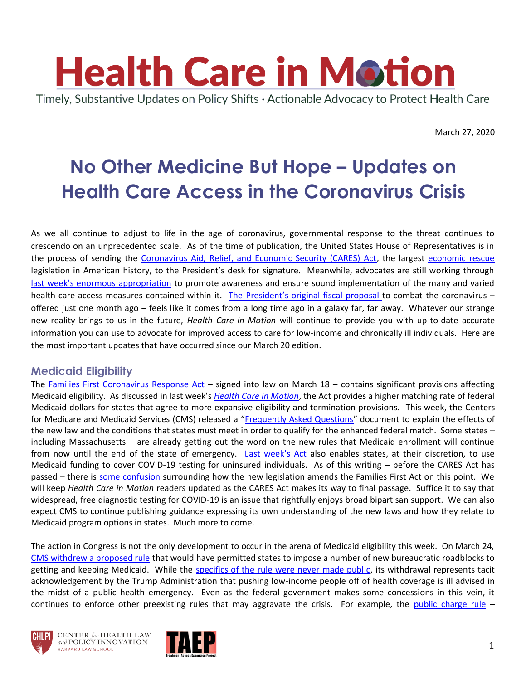

March 27, 2020

# **No Other Medicine But Hope – Updates on Health Care Access in the Coronavirus Crisis**

As we all continue to adjust to life in the age of coronavirus, governmental response to the threat continues to crescendo on an unprecedented scale. As of the time of publication, the United States House of Representatives is in the process of sending the [Coronavirus Aid, Relief, and Economic Security \(CARES\) Act,](https://www.congress.gov/bill/116th-congress/house-bill/748/text) the largest [economic rescue](https://www.cbpp.org/blog/bipartisan-stimulus-agreement-contains-significant-funds-for-states) legislation in American history, to the President's desk for signature. Meanwhile, advocates are still working through [last week's enormous appropriation](https://ccf.georgetown.edu/wp-content/uploads/2020/03/Families-First-final-rev.pdf) to promote awareness and ensure sound implementation of the many and varied health care access measures contained within it. [The President's original fiscal proposal](https://www.politico.com/news/2020/02/24/trump-coronavirus-budget-request-117275) to combat the coronavirus – offered just one month ago – feels like it comes from a long time ago in a galaxy far, far away. Whatever our strange new reality brings to us in the future, *Health Care in Motion* will continue to provide you with up-to-date accurate information you can use to advocate for improved access to care for low-income and chronically ill individuals. Here are the most important updates that have occurred since our March 20 edition.

### **Medicaid Eligibility**

The [Families First Coronavirus Response Act](https://www.congress.gov/bill/116th-congress/house-bill/6201) – signed into law on March 18 – contains significant provisions affecting Medicaid eligibility. As discussed in last week's *[Health Care in Motion](https://www.chlpi.org/wp-content/uploads/2013/12/HCIM_3_20_20.pdf)*, the Act provides a higher matching rate of federal Medicaid dollars for states that agree to more expansive eligibility and termination provisions. This week, the Centers for Medicare and Medicaid Services (CMS) released a "[Frequently Asked Questions](https://www.medicaid.gov/state-resource-center/downloads/covid-19-section-6008-faqs.pdf)" document to explain the effects of the new law and the conditions that states must meet in order to qualify for the enhanced federal match. Some states – including Massachusetts – are already getting out the word on the new rules that Medicaid enrollment will continue from now until the end of the state of emergency. [Last week's Act](https://www.kff.org/global-health-policy/issue-brief/the-families-first-coronavirus-response-act-summary-of-key-provisions/) also enables states, at their discretion, to use Medicaid funding to cover COVID-19 testing for uninsured individuals. As of this writing – before the CARES Act has passed – there is [some confusion](https://www.healthaffairs.org/do/10.1377/hblog20200326.765600/full/) surrounding how the new legislation amends the Families First Act on this point. We will keep *Health Care in Motion* readers updated as the CARES Act makes its way to final passage. Suffice it to say that widespread, free diagnostic testing for COVID-19 is an issue that rightfully enjoys broad bipartisan support. We can also expect CMS to continue publishing guidance expressing its own understanding of the new laws and how they relate to Medicaid program options in states. Much more to come.

The action in Congress is not the only development to occur in the arena of Medicaid eligibility this week. On March 24, [CMS withdrew a proposed rule](https://ccf.georgetown.edu/2020/03/25/statement-by-joan-alker-on-withdrawal-of-the-strengthening-the-program-integrity-of-the-medicaid-eligibility-determination-process-proposed-rule/) that would have permitted states to impose a number of new bureaucratic roadblocks to getting and keeping Medicaid. While the [specifics of the rule were never made public,](https://www.modernhealthcare.com/medicaid/cms-withdraws-rule-crack-down-medicaid-eligibility) its withdrawal represents tacit acknowledgement by the Trump Administration that pushing low-income people off of health coverage is ill advised in the midst of a public health emergency. Even as the federal government makes some concessions in this vein, it continues to enforce other preexisting rules that may aggravate the crisis. For example, the [public charge rule](https://www.uscis.gov/archive/archive-news/final-rule-public-charge-ground-inadmissibility)  $-$ 





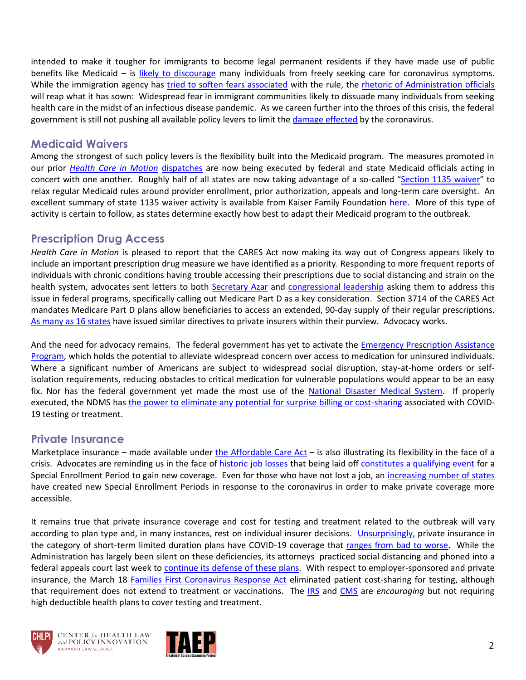intended to make it tougher for immigrants to become legal permanent residents if they have made use of public benefits like Medicaid – is [likely to discourage](https://www.wsj.com/articles/rule-barring-immigrants-from-social-programs-risks-worsening-coronavirus-spread-11585137602?mod=hp_listb_pos2) many individuals from freely seeking care for coronavirus symptoms. While the immigration agency has [tried to soften fears associated](https://www.uscis.gov/greencard/public-charge) with the rule, the [rhetoric of Administration officials](https://twitter.com/HomelandKen/status/1240644244706115584?s=20) will reap what it has sown: Widespread fear in immigrant communities likely to dissuade many individuals from seeking health care in the midst of an infectious disease pandemic. As we careen further into the throes of this crisis, the federal government is still not pushing all available policy levers to limit th[e damage effected](https://coronavirus.jhu.edu/map.html) by the coronavirus.

#### **Medicaid Waivers**

Among the strongest of such policy levers is the flexibility built into the Medicaid program. The measures promoted in our prior *[Health Care in Motion](https://www.chlpi.org/wp-content/uploads/2013/12/HCIM_3_20_20.pdf)* [dispatches](https://www.chlpi.org/wp-content/uploads/2013/12/HCIM_3_12_20.pdf) are now being executed by federal and state Medicaid officials acting in concert with one another. Roughly half of all states are now taking advantage of a so-called "[Section 1135 waiver](https://www.ssa.gov/OP_Home/ssact/title11/1135.htm)" to relax regular Medicaid rules around provider enrollment, prior authorization, appeals and long-term care oversight. An excellent summary of state 1135 waiver activity is available from Kaiser Family Foundation [here.](https://www.kff.org/medicaid/issue-brief/medicaid-emergency-authority-tracker-approved-state-actions-to-address-covid-19/) More of this type of activity is certain to follow, as states determine exactly how best to adapt their Medicaid program to the outbreak.

#### **Prescription Drug Access**

*Health Care in Motion* is pleased to report that the CARES Act now making its way out of Congress appears likely to include an important prescription drug measure we have identified as a priority. Responding to more frequent reports of individuals with chronic conditions having trouble accessing their prescriptions due to social distancing and strain on the health system, advocates sent letters to both [Secretary Azar](https://www.chlpi.org/wp-content/uploads/2013/12/COVID-Rx-Access-Letter-HHCAWG-and-RWWG-Final.pdf) and [congressional leadership](https://cqrcengage.com/efa/file/CnIglVBSLV4/Patient%20and%20Disability%20Community%20-%20Medication%20Access%20in%20Third%20COVID%20Package%20Updated%203.25.2020.pdf) asking them to address this issue in federal programs, specifically calling out Medicare Part D as a key consideration. Section 3714 of the CARES Act mandates Medicare Part D plans allow beneficiaries to access an extended, 90-day supply of their regular prescriptions. [As many as 16 states](https://www.kff.org/health-costs/issue-brief/state-data-and-policy-actions-to-address-coronavirus/) have issued similar directives to private insurers within their purview. Advocacy works.

And the need for advocacy remains. The federal government has yet to activate the **Emergency Prescription Assistance** [Program,](https://www.phe.gov/Preparedness/planning/epap/Pages/epap-status.aspx) which holds the potential to alleviate widespread concern over access to medication for uninsured individuals. Where a significant number of Americans are subject to widespread social disruption, stay-at-home orders or selfisolation requirements, reducing obstacles to critical medication for vulnerable populations would appear to be an easy fix. Nor has the federal government yet made the most use of the [National Disaster Medical System.](https://www.phe.gov/Preparedness/responders/ndms/Pages/default.aspx) If properly executed, the NDMS has [the power to eliminate any potential for surprise billing or cost-sharing](https://tcf.org/content/commentary/covid-19-need-free-coronavirus-treatment-now/?agreed=1) associated with COVID-19 testing or treatment.

### **Private Insurance**

Marketplace insurance – made available under [the Affordable Care Act](https://www.youtube.com/watch?v=clsX_J0O61A) – is also illustrating its flexibility in the face of a crisis. Advocates are reminding us in the face of [historic job losses](https://twitter.com/nytimes/status/1243362117773701123?s=20) that being laid off [constitutes a qualifying event](http://acasignups.net/20/03/20/important-many-will-qualify-sep-whether-hcgov-announces-one-covid19-or-not) for a Special Enrollment Period to gain new coverage. Even for those who have not lost a job, an [increasing number of states](https://www.aarp.org/health/health-insurance/info-2020/coronavirus-aca-open-enrollment.html) have created new Special Enrollment Periods in response to the coronavirus in order to make private coverage more accessible.

It remains true that private insurance coverage and cost for testing and treatment related to the outbreak will vary according to plan type and, in many instances, rest on individual insurer decisions. [Unsurprisingly,](https://www.commonwealthfund.org/publications/issue-briefs/2019/may/states-step-up-protect-markets-consumers-short-term-plans) private insurance in the category of short-term limited duration plans have COVID-19 coverage that [ranges from bad to worse.](https://twitter.com/clinkeyoung/status/1242540052846006272) While the Administration has largely been silent on these deficiencies, its attorneys practiced social distancing and phoned into a federal appeals court last week to [continue its defense of](https://www.modernhealthcare.com/legal/appeals-court-weighs-legality-junk-insurance-plans-amid-covid-19-outbreak) these plans. With respect to employer-sponsored and private insurance, the March 18 [Families First Coronavirus Response Act](https://www.npr.org/2020/03/19/818322136/heres-what-is-in-the-families-first-coronavirus-aid-package-trump-approved) eliminated patient cost-sharing for testing, although that requirement does not extend to treatment or vaccinations. The [IRS](https://www.irs.gov/pub/irs-drop/n-20-15.pdf) and [CMS](https://www.cms.gov/newsroom/press-releases/covid-19-response-news-alert-cms-issues-frequently-asked-questions-catastrophic-health-coverage-and) are *encouraging* but not requiring high deductible health plans to cover testing and treatment.